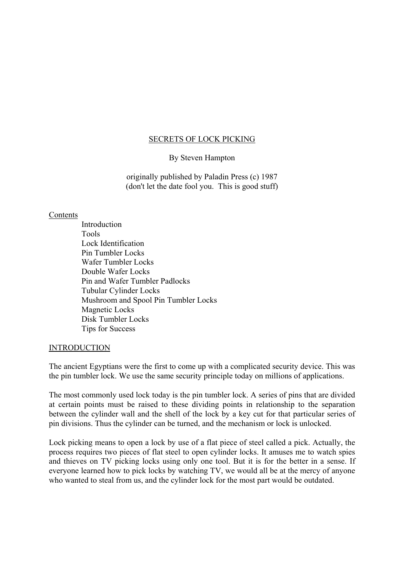## SECRETS OF LOCK PICKING

## By Steven Hampton

originally published by Paladin Press (c) 1987 (don't let the date fool you. This is good stuff)

#### **Contents**

**Introduction**  Tools Lock Identification Pin Tumbler Locks Wafer Tumbler Locks Double Wafer Locks Pin and Wafer Tumbler Padlocks Tubular Cylinder Locks Mushroom and Spool Pin Tumbler Locks Magnetic Locks Disk Tumbler Locks Tips for Success

#### **INTRODUCTION**

The ancient Egyptians were the first to come up with a complicated security device. This was the pin tumbler lock. We use the same security principle today on millions of applications.

The most commonly used lock today is the pin tumbler lock. A series of pins that are divided at certain points must be raised to these dividing points in relationship to the separation between the cylinder wall and the shell of the lock by a key cut for that particular series of pin divisions. Thus the cylinder can be turned, and the mechanism or lock is unlocked.

Lock picking means to open a lock by use of a flat piece of steel called a pick. Actually, the process requires two pieces of flat steel to open cylinder locks. It amuses me to watch spies and thieves on TV picking locks using only one tool. But it is for the better in a sense. If everyone learned how to pick locks by watching TV, we would all be at the mercy of anyone who wanted to steal from us, and the cylinder lock for the most part would be outdated.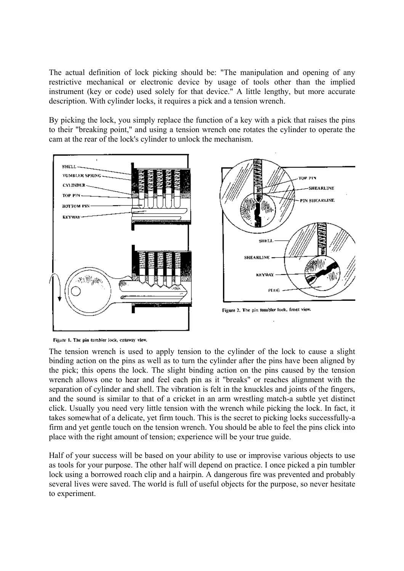The actual definition of lock picking should be: "The manipulation and opening of any restrictive mechanical or electronic device by usage of tools other than the implied instrument (key or code) used solely for that device." A little lengthy, but more accurate description. With cylinder locks, it requires a pick and a tension wrench.

By picking the lock, you simply replace the function of a key with a pick that raises the pins to their "breaking point," and using a tension wrench one rotates the cylinder to operate the cam at the rear of the lock's cylinder to unlock the mechanism.



Figure 1. The pin tumbler lock, cutaway view,

The tension wrench is used to apply tension to the cylinder of the lock to cause a slight binding action on the pins as well as to turn the cylinder after the pins have been aligned by the pick; this opens the lock. The slight binding action on the pins caused by the tension wrench allows one to hear and feel each pin as it "breaks" or reaches alignment with the separation of cylinder and shell. The vibration is felt in the knuckles and joints of the fingers, and the sound is similar to that of a cricket in an arm wrestling match-a subtle yet distinct click. Usually you need very little tension with the wrench while picking the lock. In fact, it takes somewhat of a delicate, yet firm touch. This is the secret to picking locks successfully-a firm and yet gentle touch on the tension wrench. You should be able to feel the pins click into place with the right amount of tension; experience will be your true guide.

Half of your success will be based on your ability to use or improvise various objects to use as tools for your purpose. The other half will depend on practice. I once picked a pin tumbler lock using a borrowed roach clip and a hairpin. A dangerous fire was prevented and probably several lives were saved. The world is full of useful objects for the purpose, so never hesitate to experiment.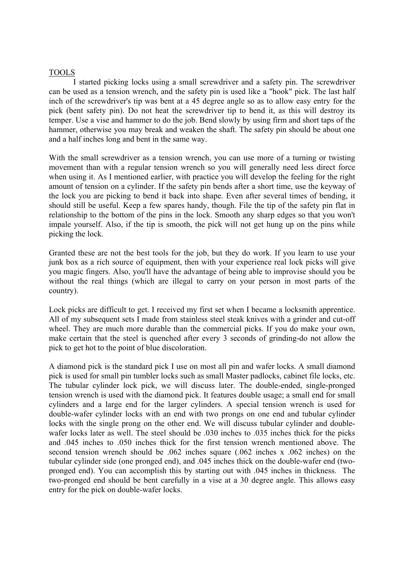#### TOOLS

 I started picking locks using a small screwdriver and a safety pin. The screwdriver can be used as a tension wrench, and the safety pin is used like a "hook" pick. The last half inch of the screwdriver's tip was bent at a 45 degree angle so as to allow easy entry for the pick (bent safety pin). Do not heat the screwdriver tip to bend it, as this will destroy its temper. Use a vise and hammer to do the job. Bend slowly by using firm and short taps of the hammer, otherwise you may break and weaken the shaft. The safety pin should be about one and a half inches long and bent in the same way.

With the small screwdriver as a tension wrench, you can use more of a turning or twisting movement than with a regular tension wrench so you will generally need less direct force when using it. As I mentioned earlier, with practice you will develop the feeling for the right amount of tension on a cylinder. If the safety pin bends after a short time, use the keyway of the lock you are picking to bend it back into shape. Even after several times of bending, it should still be useful. Keep a few spares handy, though. File the tip of the safety pin flat in relationship to the bottom of the pins in the lock. Smooth any sharp edges so that you won't impale yourself. Also, if the tip is smooth, the pick will not get hung up on the pins while picking the lock.

Granted these are not the best tools for the job, but they do work. If you learn to use your junk box as a rich source of equipment, then with your experience real lock picks will give you magic fingers. Also, you'll have the advantage of being able to improvise should you be without the real things (which are illegal to carry on your person in most parts of the country).

Lock picks are difficult to get. I received my first set when I became a locksmith apprentice. All of my subsequent sets I made from stainless steel steak knives with a grinder and cut-off wheel. They are much more durable than the commercial picks. If you do make your own, make certain that the steel is quenched after every 3 seconds of grinding-do not allow the pick to get hot to the point of blue discoloration.

A diamond pick is the standard pick I use on most all pin and wafer locks. A small diamond pick is used for small pin tumbler locks such as small Master padlocks, cabinet file locks, etc. The tubular cylinder lock pick, we will discuss later. The double-ended, single-pronged tension wrench is used with the diamond pick. It features double usage; a small end for small cylinders and a large end for the larger cylinders. A special tension wrench is used for double-wafer cylinder locks with an end with two prongs on one end and tubular cylinder locks with the single prong on the other end. We will discuss tubular cylinder and doublewafer locks later as well. The steel should be .030 inches to .035 inches thick for the picks and 045 inches to 050 inches thick for the first tension wrench mentioned above. The second tension wrench should be .062 inches square (.062 inches x .062 inches) on the tubular cylinder side (one pronged end), and .045 inches thick on the double-wafer end (twopronged end). You can accomplish this by starting out with .045 inches in thickness. The two-pronged end should be bent carefully in a vise at a 30 degree angle. This allows easy entry for the pick on double-wafer locks.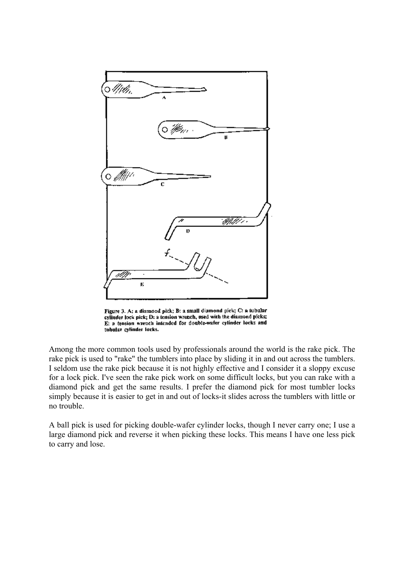

Figure 3. A; a diamond pick; B: a small diamond pick; C: a tubular cylinder lock pick; D: a tension wrench, used with the diamond picks; E: a tension wrench intended for double-wafer cylinder locks and tubular cylinder locks.

Among the more common tools used by professionals around the world is the rake pick. The rake pick is used to "rake" the tumblers into place by sliding it in and out across the tumblers. I seldom use the rake pick because it is not highly effective and I consider it a sloppy excuse for a lock pick. I've seen the rake pick work on some difficult locks, but you can rake with a diamond pick and get the same results. I prefer the diamond pick for most tumbler locks simply because it is easier to get in and out of locks-it slides across the tumblers with little or no trouble.

A ball pick is used for picking double-wafer cylinder locks, though I never carry one; I use a large diamond pick and reverse it when picking these locks. This means I have one less pick to carry and lose.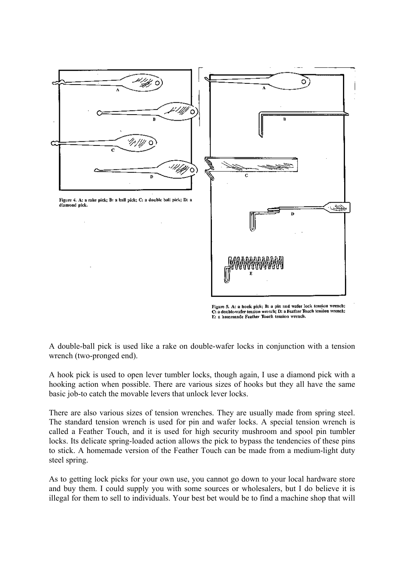

Figure 5. A: a hook pick; B: a pin and wafer lock tension wrench; rigure S. A: whole patch of the pain and water fouch tension wrench;<br>C: a double-wafer tension wrench; D: a Feather Touch tension wrench;<br>E: a homemade Feather Touch tension wrench.

A double-ball pick is used like a rake on double-wafer locks in conjunction with a tension wrench (two-pronged end).

A hook pick is used to open lever tumbler locks, though again, I use a diamond pick with a hooking action when possible. There are various sizes of hooks but they all have the same basic job-to catch the movable levers that unlock lever locks.

There are also various sizes of tension wrenches. They are usually made from spring steel. The standard tension wrench is used for pin and wafer locks. A special tension wrench is called a Feather Touch, and it is used for high security mushroom and spool pin tumbler locks. Its delicate spring-loaded action allows the pick to bypass the tendencies of these pins to stick. A homemade version of the Feather Touch can be made from a medium-light duty steel spring.

As to getting lock picks for your own use, you cannot go down to your local hardware store and buy them. I could supply you with some sources or wholesalers, but I do believe it is illegal for them to sell to individuals. Your best bet would be to find a machine shop that will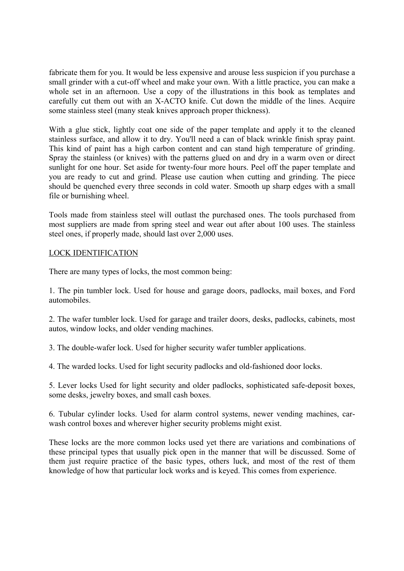fabricate them for you. It would be less expensive and arouse less suspicion if you purchase a small grinder with a cut-off wheel and make your own. With a little practice, you can make a whole set in an afternoon. Use a copy of the illustrations in this book as templates and carefully cut them out with an X-ACTO knife. Cut down the middle of the lines. Acquire some stainless steel (many steak knives approach proper thickness).

With a glue stick, lightly coat one side of the paper template and apply it to the cleaned stainless surface, and allow it to dry. You'll need a can of black wrinkle finish spray paint. This kind of paint has a high carbon content and can stand high temperature of grinding. Spray the stainless (or knives) with the patterns glued on and dry in a warm oven or direct sunlight for one hour. Set aside for twenty-four more hours. Peel off the paper template and you are ready to cut and grind. Please use caution when cutting and grinding. The piece should be quenched every three seconds in cold water. Smooth up sharp edges with a small file or burnishing wheel.

Tools made from stainless steel will outlast the purchased ones. The tools purchased from most suppliers are made from spring steel and wear out after about 100 uses. The stainless steel ones, if properly made, should last over 2,000 uses.

## LOCK IDENTIFICATION

There are many types of locks, the most common being:

1. The pin tumbler lock. Used for house and garage doors, padlocks, mail boxes, and Ford automobiles.

2. The wafer tumbler lock. Used for garage and trailer doors, desks, padlocks, cabinets, most autos, window locks, and older vending machines.

3. The double-wafer lock. Used for higher security wafer tumbler applications.

4. The warded locks. Used for light security padlocks and old-fashioned door locks.

5. Lever locks Used for light security and older padlocks, sophisticated safe-deposit boxes, some desks, jewelry boxes, and small cash boxes.

6. Tubular cylinder locks. Used for alarm control systems, newer vending machines, carwash control boxes and wherever higher security problems might exist.

These locks are the more common locks used yet there are variations and combinations of these principal types that usually pick open in the manner that will be discussed. Some of them just require practice of the basic types, others luck, and most of the rest of them knowledge of how that particular lock works and is keyed. This comes from experience.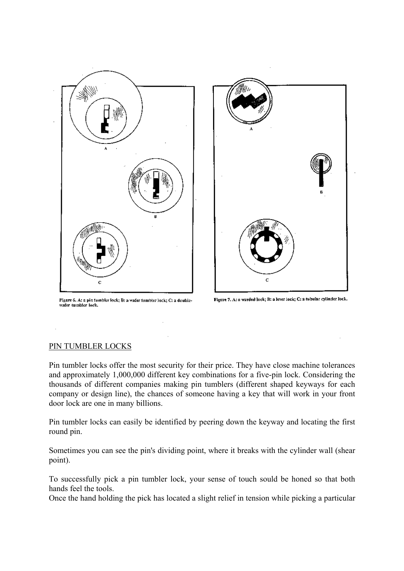



Figure 6. A: a pin tumbler lock; B: a wafer tumbler lock; C: a doublewafer tumbler lock.

Figure 7. A: a warded lock; B: a lever lock; C: a tubular cylinder lock.

#### PIN TUMBLER LOCKS

Pin tumbler locks offer the most security for their price. They have close machine tolerances and approximately 1,000,000 different key combinations for a five-pin lock. Considering the thousands of different companies making pin tumblers (different shaped keyways for each company or design line), the chances of someone having a key that will work in your front door lock are one in many billions.

Pin tumbler locks can easily be identified by peering down the keyway and locating the first round pin.

Sometimes you can see the pin's dividing point, where it breaks with the cylinder wall (shear point).

To successfully pick a pin tumbler lock, your sense of touch sould be honed so that both hands feel the tools.

Once the hand holding the pick has located a slight relief in tension while picking a particular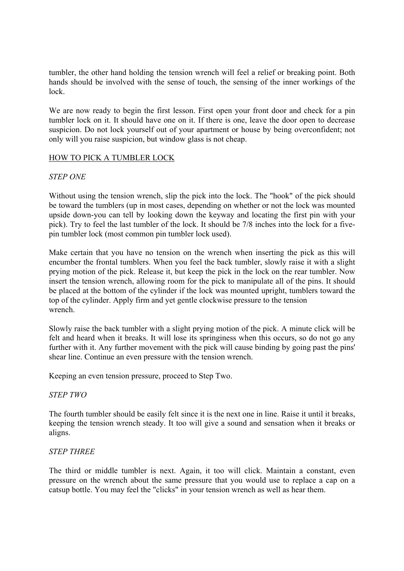tumbler, the other hand holding the tension wrench will feel a relief or breaking point. Both hands should be involved with the sense of touch, the sensing of the inner workings of the lock.

We are now ready to begin the first lesson. First open your front door and check for a pin tumbler lock on it. It should have one on it. If there is one, leave the door open to decrease suspicion. Do not lock yourself out of your apartment or house by being overconfident; not only will you raise suspicion, but window glass is not cheap.

## HOW TO PICK A TUMBLER LOCK

## *STEP ONE*

Without using the tension wrench, slip the pick into the lock. The "hook" of the pick should be toward the tumblers (up in most cases, depending on whether or not the lock was mounted upside down-you can tell by looking down the keyway and locating the first pin with your pick). Try to feel the last tumbler of the lock. It should be 7/8 inches into the lock for a fivepin tumbler lock (most common pin tumbler lock used).

Make certain that you have no tension on the wrench when inserting the pick as this will encumber the frontal tumblers. When you feel the back tumbler, slowly raise it with a slight prying motion of the pick. Release it, but keep the pick in the lock on the rear tumbler. Now insert the tension wrench, allowing room for the pick to manipulate all of the pins. It should be placed at the bottom of the cylinder if the lock was mounted upright, tumblers toward the top of the cylinder. Apply firm and yet gentle clockwise pressure to the tension wrench.

Slowly raise the back tumbler with a slight prying motion of the pick. A minute click will be felt and heard when it breaks. It will lose its springiness when this occurs, so do not go any further with it. Any further movement with the pick will cause binding by going past the pins' shear line. Continue an even pressure with the tension wrench.

Keeping an even tension pressure, proceed to Step Two.

## *STEP TWO*

The fourth tumbler should be easily felt since it is the next one in line. Raise it until it breaks, keeping the tension wrench steady. It too will give a sound and sensation when it breaks or aligns.

## *STEP THREE*

The third or middle tumbler is next. Again, it too will click. Maintain a constant, even pressure on the wrench about the same pressure that you would use to replace a cap on a catsup bottle. You may feel the "clicks" in your tension wrench as well as hear them.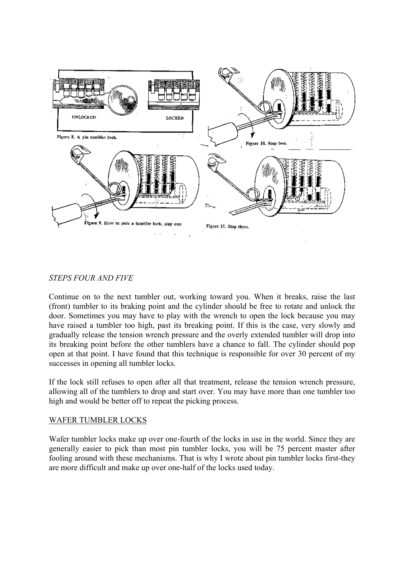

# *STEPS FOUR AND FIVE*

Continue on to the next tumbler out, working toward you. When it breaks, raise the last (front) tumbler to its braking point and the cylinder should be free to rotate and unlock the door. Sometimes you may have to play with the wrench to open the lock because you may have raised a tumbler too high, past its breaking point. If this is the case, very slowly and gradually release the tension wrench pressure and the overly extended tumbler will drop into its breaking point before the other tumblers have a chance to fall. The cylinder should pop open at that point. I have found that this technique is responsible for over 30 percent of my successes in opening all tumbler locks.

If the lock still refuses to open after all that treatment, release the tension wrench pressure, allowing all of the tumblers to drop and start over. You may have more than one tumbler too high and would be better off to repeat the picking process.

## WAFER TUMBLER LOCKS

Wafer tumbler locks make up over one-fourth of the locks in use in the world. Since they are generally easier to pick than most pin tumbler locks, you will be 75 percent master after fooling around with these mechanisms. That is why I wrote about pin tumbler locks first-they are more difficult and make up over one-half of the locks used today.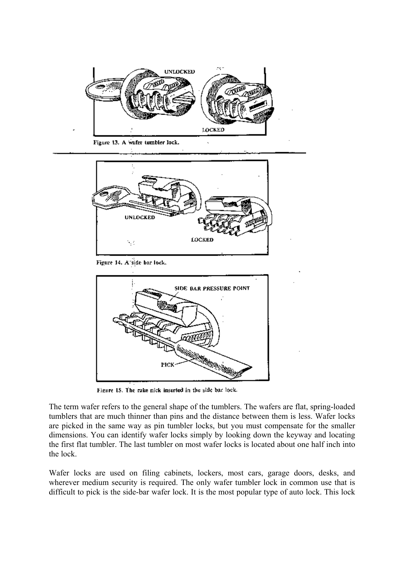



Figure 14. A side bar lock.



Figure 15. The rake nick inserted in the side bar lock.

The term wafer refers to the general shape of the tumblers. The wafers are flat, spring-loaded tumblers that are much thinner than pins and the distance between them is less. Wafer locks are picked in the same way as pin tumbler locks, but you must compensate for the smaller dimensions. You can identify wafer locks simply by looking down the keyway and locating the first flat tumbler. The last tumbler on most wafer locks is located about one half inch into the lock.

Wafer locks are used on filing cabinets, lockers, most cars, garage doors, desks, and wherever medium security is required. The only wafer tumbler lock in common use that is difficult to pick is the side-bar wafer lock. It is the most popular type of auto lock. This lock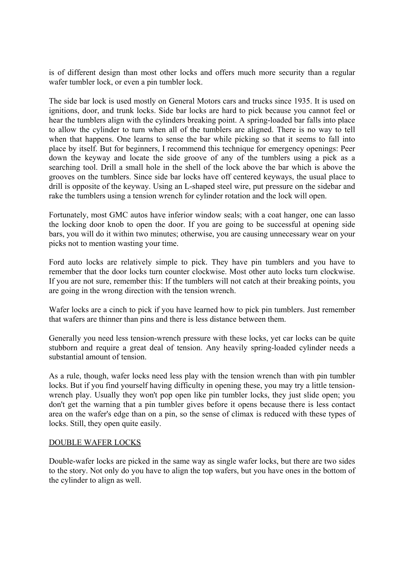is of different design than most other locks and offers much more security than a regular wafer tumbler lock, or even a pin tumbler lock.

The side bar lock is used mostly on General Motors cars and trucks since 1935. It is used on ignitions, door, and trunk locks. Side bar locks are hard to pick because you cannot feel or hear the tumblers align with the cylinders breaking point. A spring-loaded bar falls into place to allow the cylinder to turn when all of the tumblers are aligned. There is no way to tell when that happens. One learns to sense the bar while picking so that it seems to fall into place by itself. But for beginners, I recommend this technique for emergency openings: Peer down the keyway and locate the side groove of any of the tumblers using a pick as a searching tool. Drill a small hole in the shell of the lock above the bar which is above the grooves on the tumblers. Since side bar locks have off centered keyways, the usual place to drill is opposite of the keyway. Using an L-shaped steel wire, put pressure on the sidebar and rake the tumblers using a tension wrench for cylinder rotation and the lock will open.

Fortunately, most GMC autos have inferior window seals; with a coat hanger, one can lasso the locking door knob to open the door. If you are going to be successful at opening side bars, you will do it within two minutes; otherwise, you are causing unnecessary wear on your picks not to mention wasting your time.

Ford auto locks are relatively simple to pick. They have pin tumblers and you have to remember that the door locks turn counter clockwise. Most other auto locks turn clockwise. If you are not sure, remember this: If the tumblers will not catch at their breaking points, you are going in the wrong direction with the tension wrench.

Wafer locks are a cinch to pick if you have learned how to pick pin tumblers. Just remember that wafers are thinner than pins and there is less distance between them.

Generally you need less tension-wrench pressure with these locks, yet car locks can be quite stubborn and require a great deal of tension. Any heavily spring-loaded cylinder needs a substantial amount of tension.

As a rule, though, wafer locks need less play with the tension wrench than with pin tumbler locks. But if you find yourself having difficulty in opening these, you may try a little tensionwrench play. Usually they won't pop open like pin tumbler locks, they just slide open; you don't get the warning that a pin tumbler gives before it opens because there is less contact area on the wafer's edge than on a pin, so the sense of climax is reduced with these types of locks. Still, they open quite easily.

## DOUBLE WAFER LOCKS

Double-wafer locks are picked in the same way as single wafer locks, but there are two sides to the story. Not only do you have to align the top wafers, but you have ones in the bottom of the cylinder to align as well.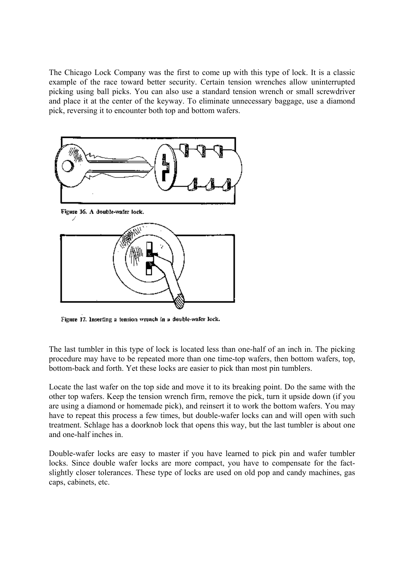The Chicago Lock Company was the first to come up with this type of lock. It is a classic example of the race toward better security. Certain tension wrenches allow uninterrupted picking using ball picks. You can also use a standard tension wrench or small screwdriver and place it at the center of the keyway. To eliminate unnecessary baggage, use a diamond pick, reversing it to encounter both top and bottom wafers.



Figure 17. Inserting a tension wreach in a double-wafer lock.

The last tumbler in this type of lock is located less than one-half of an inch in. The picking procedure may have to be repeated more than one time-top wafers, then bottom wafers, top, bottom-back and forth. Yet these locks are easier to pick than most pin tumblers.

Locate the last wafer on the top side and move it to its breaking point. Do the same with the other top wafers. Keep the tension wrench firm, remove the pick, turn it upside down (if you are using a diamond or homemade pick), and reinsert it to work the bottom wafers. You may have to repeat this process a few times, but double-wafer locks can and will open with such treatment. Schlage has a doorknob lock that opens this way, but the last tumbler is about one and one-half inches in.

Double-wafer locks are easy to master if you have learned to pick pin and wafer tumbler locks. Since double wafer locks are more compact, you have to compensate for the factslightly closer tolerances. These type of locks are used on old pop and candy machines, gas caps, cabinets, etc.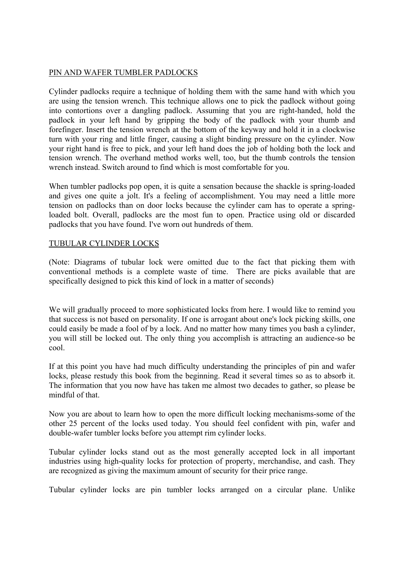## PIN AND WAFER TUMBLER PADLOCKS

Cylinder padlocks require a technique of holding them with the same hand with which you are using the tension wrench. This technique allows one to pick the padlock without going into contortions over a dangling padlock. Assuming that you are right-handed, hold the padlock in your left hand by gripping the body of the padlock with your thumb and forefinger. Insert the tension wrench at the bottom of the keyway and hold it in a clockwise turn with your ring and little finger, causing a slight binding pressure on the cylinder. Now your right hand is free to pick, and your left hand does the job of holding both the lock and tension wrench. The overhand method works well, too, but the thumb controls the tension wrench instead. Switch around to find which is most comfortable for you.

When tumbler padlocks pop open, it is quite a sensation because the shackle is spring-loaded and gives one quite a jolt. It's a feeling of accomplishment. You may need a little more tension on padlocks than on door locks because the cylinder cam has to operate a springloaded bolt. Overall, padlocks are the most fun to open. Practice using old or discarded padlocks that you have found. I've worn out hundreds of them.

## TUBULAR CYLINDER LOCKS

(Note: Diagrams of tubular lock were omitted due to the fact that picking them with conventional methods is a complete waste of time. There are picks available that are specifically designed to pick this kind of lock in a matter of seconds)

We will gradually proceed to more sophisticated locks from here. I would like to remind you that success is not based on personality. If one is arrogant about one's lock picking skills, one could easily be made a fool of by a lock. And no matter how many times you bash a cylinder, you will still be locked out. The only thing you accomplish is attracting an audience-so be cool.

If at this point you have had much difficulty understanding the principles of pin and wafer locks, please restudy this book from the beginning. Read it several times so as to absorb it. The information that you now have has taken me almost two decades to gather, so please be mindful of that.

Now you are about to learn how to open the more difficult locking mechanisms-some of the other 25 percent of the locks used today. You should feel confident with pin, wafer and double-wafer tumbler locks before you attempt rim cylinder locks.

Tubular cylinder locks stand out as the most generally accepted lock in all important industries using high-quality locks for protection of property, merchandise, and cash. They are recognized as giving the maximum amount of security for their price range.

Tubular cylinder locks are pin tumbler locks arranged on a circular plane. Unlike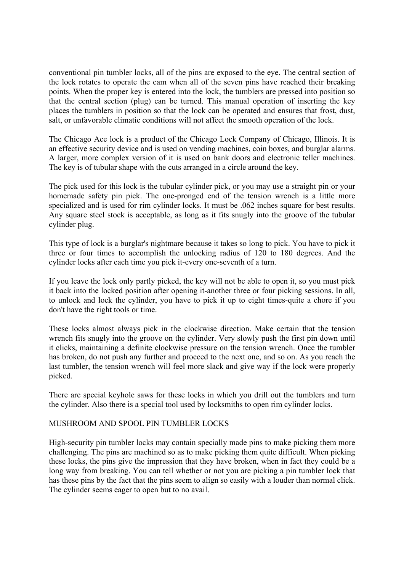conventional pin tumbler locks, all of the pins are exposed to the eye. The central section of the lock rotates to operate the cam when all of the seven pins have reached their breaking points. When the proper key is entered into the lock, the tumblers are pressed into position so that the central section (plug) can be turned. This manual operation of inserting the key places the tumblers in position so that the lock can be operated and ensures that frost, dust, salt, or unfavorable climatic conditions will not affect the smooth operation of the lock.

The Chicago Ace lock is a product of the Chicago Lock Company of Chicago, Illinois. It is an effective security device and is used on vending machines, coin boxes, and burglar alarms. A larger, more complex version of it is used on bank doors and electronic teller machines. The key is of tubular shape with the cuts arranged in a circle around the key.

The pick used for this lock is the tubular cylinder pick, or you may use a straight pin or your homemade safety pin pick. The one-pronged end of the tension wrench is a little more specialized and is used for rim cylinder locks. It must be .062 inches square for best results. Any square steel stock is acceptable, as long as it fits snugly into the groove of the tubular cylinder plug.

This type of lock is a burglar's nightmare because it takes so long to pick. You have to pick it three or four times to accomplish the unlocking radius of 120 to 180 degrees. And the cylinder locks after each time you pick it-every one-seventh of a turn.

If you leave the lock only partly picked, the key will not be able to open it, so you must pick it back into the locked position after opening it-another three or four picking sessions. In all, to unlock and lock the cylinder, you have to pick it up to eight times-quite a chore if you don't have the right tools or time.

These locks almost always pick in the clockwise direction. Make certain that the tension wrench fits snugly into the groove on the cylinder. Very slowly push the first pin down until it clicks, maintaining a definite clockwise pressure on the tension wrench. Once the tumbler has broken, do not push any further and proceed to the next one, and so on. As you reach the last tumbler, the tension wrench will feel more slack and give way if the lock were properly picked.

There are special keyhole saws for these locks in which you drill out the tumblers and turn the cylinder. Also there is a special tool used by locksmiths to open rim cylinder locks.

## MUSHROOM AND SPOOL PIN TUMBLER LOCKS

High-security pin tumbler locks may contain specially made pins to make picking them more challenging. The pins are machined so as to make picking them quite difficult. When picking these locks, the pins give the impression that they have broken, when in fact they could be a long way from breaking. You can tell whether or not you are picking a pin tumbler lock that has these pins by the fact that the pins seem to align so easily with a louder than normal click. The cylinder seems eager to open but to no avail.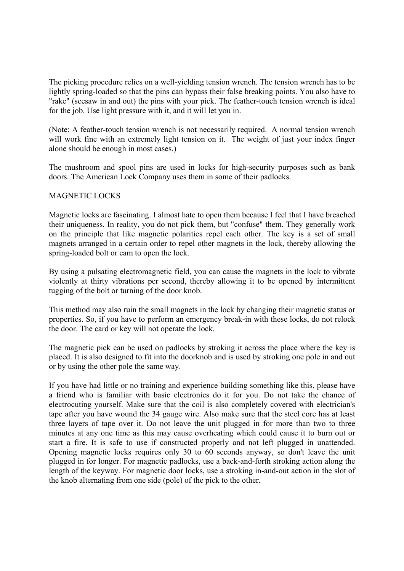The picking procedure relies on a well-yielding tension wrench. The tension wrench has to be lightly spring-loaded so that the pins can bypass their false breaking points. You also have to "rake" (seesaw in and out) the pins with your pick. The feather-touch tension wrench is ideal for the job. Use light pressure with it, and it will let you in.

(Note: A feather-touch tension wrench is not necessarily required. A normal tension wrench will work fine with an extremely light tension on it. The weight of just your index finger alone should be enough in most cases.)

The mushroom and spool pins are used in locks for high-security purposes such as bank doors. The American Lock Company uses them in some of their padlocks.

## MAGNETIC LOCKS

Magnetic locks are fascinating. I almost hate to open them because I feel that I have breached their uniqueness. In reality, you do not pick them, but "confuse" them. They generally work on the principle that like magnetic polarities repel each other. The key is a set of small magnets arranged in a certain order to repel other magnets in the lock, thereby allowing the spring-loaded bolt or cam to open the lock.

By using a pulsating electromagnetic field, you can cause the magnets in the lock to vibrate violently at thirty vibrations per second, thereby allowing it to be opened by intermittent tugging of the bolt or turning of the door knob.

This method may also ruin the small magnets in the lock by changing their magnetic status or properties. So, if you have to perform an emergency break-in with these locks, do not relock the door. The card or key will not operate the lock.

The magnetic pick can be used on padlocks by stroking it across the place where the key is placed. It is also designed to fit into the doorknob and is used by stroking one pole in and out or by using the other pole the same way.

If you have had little or no training and experience building something like this, please have a friend who is familiar with basic electronics do it for you. Do not take the chance of electrocuting yourself. Make sure that the coil is also completely covered with electrician's tape after you have wound the 34 gauge wire. Also make sure that the steel core has at least three layers of tape over it. Do not leave the unit plugged in for more than two to three minutes at any one time as this may cause overheating which could cause it to burn out or start a fire. It is safe to use if constructed properly and not left plugged in unattended. Opening magnetic locks requires only 30 to 60 seconds anyway, so don't leave the unit plugged in for longer. For magnetic padlocks, use a back-and-forth stroking action along the length of the keyway. For magnetic door locks, use a stroking in-and-out action in the slot of the knob alternating from one side (pole) of the pick to the other.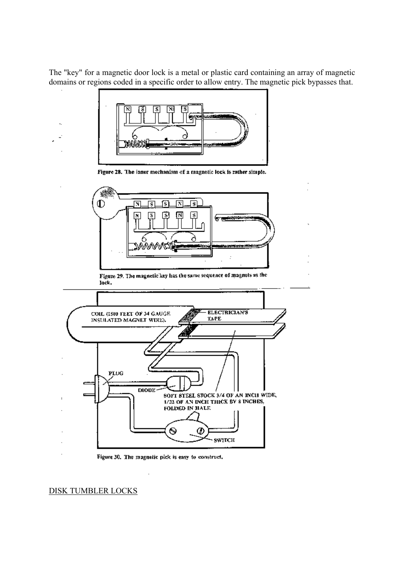The "key" for a magnetic door lock is a metal or plastic card containing an array of magnetic domains or regions coded in a specific order to allow entry. The magnetic pick bypasses that.



Figure 30. The magnetic pick is easy to construct,

#### DISK TUMBLER LOCKS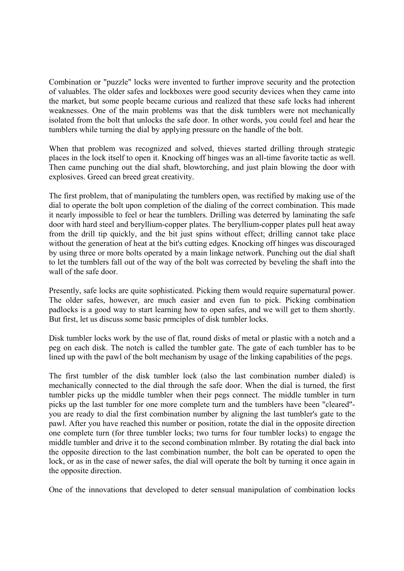Combination or "puzzle" locks were invented to further improve security and the protection of valuables. The older safes and lockboxes were good security devices when they came into the market, but some people became curious and realized that these safe locks had inherent weaknesses. One of the main problems was that the disk tumblers were not mechanically isolated from the bolt that unlocks the safe door. In other words, you could feel and hear the tumblers while turning the dial by applying pressure on the handle of the bolt.

When that problem was recognized and solved, thieves started drilling through strategic places in the lock itself to open it. Knocking off hinges was an all-time favorite tactic as well. Then came punching out the dial shaft, blowtorching, and just plain blowing the door with explosives. Greed can breed great creativity.

The first problem, that of manipulating the tumblers open, was rectified by making use of the dial to operate the bolt upon completion of the dialing of the correct combination. This made it nearly impossible to feel or hear the tumblers. Drilling was deterred by laminating the safe door with hard steel and beryllium-copper plates. The beryllium-copper plates pull heat away from the drill tip quickly, and the bit just spins without effect; drilling cannot take place without the generation of heat at the bit's cutting edges. Knocking off hinges was discouraged by using three or more bolts operated by a main linkage network. Punching out the dial shaft to let the tumblers fall out of the way of the bolt was corrected by beveling the shaft into the wall of the safe door.

Presently, safe locks are quite sophisticated. Picking them would require supernatural power. The older safes, however, are much easier and even fun to pick. Picking combination padlocks is a good way to start learning how to open safes, and we will get to them shortly. But first, let us discuss some basic prmciples of disk tumbler locks.

Disk tumbler locks work by the use of flat, round disks of metal or plastic with a notch and a peg on each disk. The notch is called the tumbler gate. The gate of each tumbler has to be lined up with the pawl of the bolt mechanism by usage of the linking capabilities of the pegs.

The first tumbler of the disk tumbler lock (also the last combination number dialed) is mechanically connected to the dial through the safe door. When the dial is turned, the first tumbler picks up the middle tumbler when their pegs connect. The middle tumbler in turn picks up the last tumbler for one more complete turn and the tumblers have been "cleared" you are ready to dial the first combination number by aligning the last tumbler's gate to the pawl. After you have reached this number or position, rotate the dial in the opposite direction one complete turn (for three tumbler locks; two turns for four tumbler locks) to engage the middle tumbler and drive it to the second combination mlmber. By rotating the dial back into the opposite direction to the last combination number, the bolt can be operated to open the lock, or as in the case of newer safes, the dial will operate the bolt by turning it once again in the opposite direction.

One of the innovations that developed to deter sensual manipulation of combination locks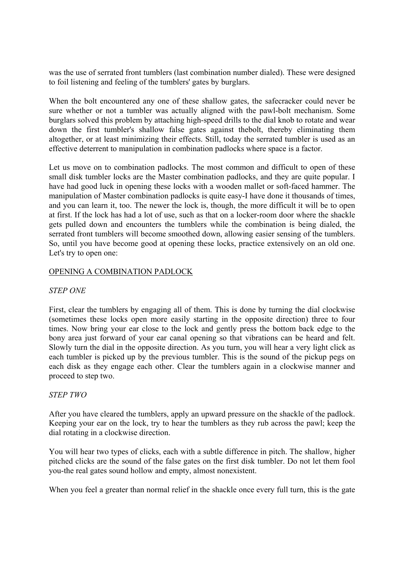was the use of serrated front tumblers (last combination number dialed). These were designed to foil listening and feeling of the tumblers' gates by burglars.

When the bolt encountered any one of these shallow gates, the safecracker could never be sure whether or not a tumbler was actually aligned with the pawl-bolt mechanism. Some burglars solved this problem by attaching high-speed drills to the dial knob to rotate and wear down the first tumbler's shallow false gates against thebolt, thereby eliminating them altogether, or at least minimizing their effects. Still, today the serrated tumbler is used as an effective deterrent to manipulation in combination padlocks where space is a factor.

Let us move on to combination padlocks. The most common and difficult to open of these small disk tumbler locks are the Master combination padlocks, and they are quite popular. I have had good luck in opening these locks with a wooden mallet or soft-faced hammer. The manipulation of Master combination padlocks is quite easy-I have done it thousands of times, and you can learn it, too. The newer the lock is, though, the more difficult it will be to open at first. If the lock has had a lot of use, such as that on a locker-room door where the shackle gets pulled down and encounters the tumblers while the combination is being dialed, the serrated front tumblers will become smoothed down, allowing easier sensing of the tumblers. So, until you have become good at opening these locks, practice extensively on an old one. Let's try to open one:

## OPENING A COMBINATION PADLOCK

# *STEP ONE*

First, clear the tumblers by engaging all of them. This is done by turning the dial clockwise (sometimes these locks open more easily starting in the opposite direction) three to four times. Now bring your ear close to the lock and gently press the bottom back edge to the bony area just forward of your ear canal opening so that vibrations can be heard and felt. Slowly turn the dial in the opposite direction. As you turn, you will hear a very light click as each tumbler is picked up by the previous tumbler. This is the sound of the pickup pegs on each disk as they engage each other. Clear the tumblers again in a clockwise manner and proceed to step two.

# *STEP TWO*

After you have cleared the tumblers, apply an upward pressure on the shackle of the padlock. Keeping your ear on the lock, try to hear the tumblers as they rub across the pawl; keep the dial rotating in a clockwise direction.

You will hear two types of clicks, each with a subtle difference in pitch. The shallow, higher pitched clicks are the sound of the false gates on the first disk tumbler. Do not let them fool you-the real gates sound hollow and empty, almost nonexistent.

When you feel a greater than normal relief in the shackle once every full turn, this is the gate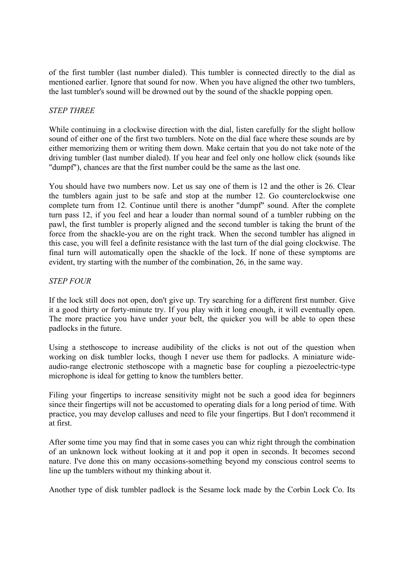of the first tumbler (last number dialed). This tumbler is connected directly to the dial as mentioned earlier. Ignore that sound for now. When you have aligned the other two tumblers, the last tumbler's sound will be drowned out by the sound of the shackle popping open.

# *STEP THREE*

While continuing in a clockwise direction with the dial, listen carefully for the slight hollow sound of either one of the first two tumblers. Note on the dial face where these sounds are by either memorizing them or writing them down. Make certain that you do not take note of the driving tumbler (last number dialed). If you hear and feel only one hollow click (sounds like "dumpf"), chances are that the first number could be the same as the last one.

You should have two numbers now. Let us say one of them is 12 and the other is 26. Clear the tumblers again just to be safe and stop at the number 12. Go counterclockwise one complete turn from 12. Continue until there is another "dumpf" sound. After the complete turn pass 12, if you feel and hear a louder than normal sound of a tumbler rubbing on the pawl, the first tumbler is properly aligned and the second tumbler is taking the brunt of the force from the shackle-you are on the right track. When the second tumbler has aligned in this case, you will feel a definite resistance with the last turn of the dial going clockwise. The final turn will automatically open the shackle of the lock. If none of these symptoms are evident, try starting with the number of the combination, 26, in the same way.

## *STEP FOUR*

If the lock still does not open, don't give up. Try searching for a different first number. Give it a good thirty or forty-minute try. If you play with it long enough, it will eventually open. The more practice you have under your belt, the quicker you will be able to open these padlocks in the future.

Using a stethoscope to increase audibility of the clicks is not out of the question when working on disk tumbler locks, though I never use them for padlocks. A miniature wideaudio-range electronic stethoscope with a magnetic base for coupling a piezoelectric-type microphone is ideal for getting to know the tumblers better.

Filing your fingertips to increase sensitivity might not be such a good idea for beginners since their fingertips will not be accustomed to operating dials for a long period of time. With practice, you may develop calluses and need to file your fingertips. But I don't recommend it at first.

After some time you may find that in some cases you can whiz right through the combination of an unknown lock without looking at it and pop it open in seconds. It becomes second nature. I've done this on many occasions-something beyond my conscious control seems to line up the tumblers without my thinking about it.

Another type of disk tumbler padlock is the Sesame lock made by the Corbin Lock Co. Its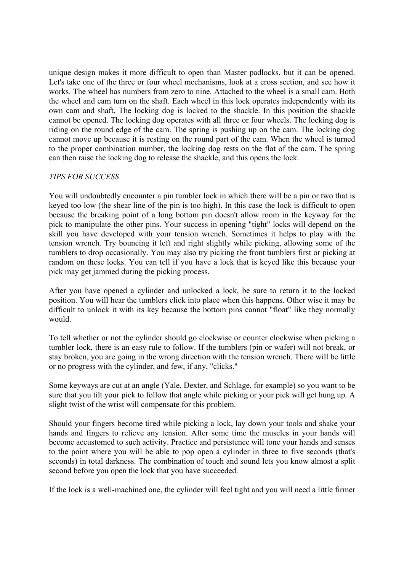unique design makes it more difficult to open than Master padlocks, but it can be opened. Let's take one of the three or four wheel mechanisms, look at a cross section, and see how it works. The wheel has numbers from zero to nine. Attached to the wheel is a small cam. Both the wheel and cam turn on the shaft. Each wheel in this lock operates independently with its own cam and shaft. The locking dog is locked to the shackle. In this position the shackle cannot be opened. The locking dog operates with all three or four wheels. The locking dog is riding on the round edge of the cam. The spring is pushing up on the cam. The locking dog cannot move up because it is resting on the round part of the cam. When the wheel is turned to the proper combination number, the locking dog rests on the flat of the cam. The spring can then raise the locking dog to release the shackle, and this opens the lock.

# *TIPS FOR SUCCESS*

You will undoubtedly encounter a pin tumbler lock in which there will be a pin or two that is keyed too low (the shear line of the pin is too high). In this case the lock is difficult to open because the breaking point of a long bottom pin doesn't allow room in the keyway for the pick to manipulate the other pins. Your success in opening "tight" locks will depend on the skill you have developed with your tension wrench. Sometimes it helps to play with the tension wrench. Try bouncing it left and right slightly while picking, allowing some of the tumblers to drop occasionally. You may also try picking the front tumblers first or picking at random on these locks. You can tell if you have a lock that is keyed like this because your pick may get jammed during the picking process.

After you have opened a cylinder and unlocked a lock, be sure to return it to the locked position. You will hear the tumblers click into place when this happens. Other wise it may be difficult to unlock it with its key because the bottom pins cannot "float" like they normally would.

To tell whether or not the cylinder should go clockwise or counter clockwise when picking a tumbler lock, there is an easy rule to follow. If the tumblers (pin or wafer) will not break, or stay broken, you are going in the wrong direction with the tension wrench. There will be little or no progress with the cylinder, and few, if any, "clicks."

Some keyways are cut at an angle (Yale, Dexter, and Schlage, for example) so you want to be sure that you tilt your pick to follow that angle while picking or your pick will get hung up. A slight twist of the wrist will compensate for this problem.

Should your fingers become tired while picking a lock, lay down your tools and shake your hands and fingers to relieve any tension. After some time the muscles in your hands will become accustomed to such activity. Practice and persistence will tone your hands and senses to the point where you will be able to pop open a cylinder in three to five seconds (that's seconds) in total darkness. The combination of touch and sound lets you know almost a split second before you open the lock that you have succeeded.

If the lock is a well-machined one, the cylinder will feel tight and you will need a little firmer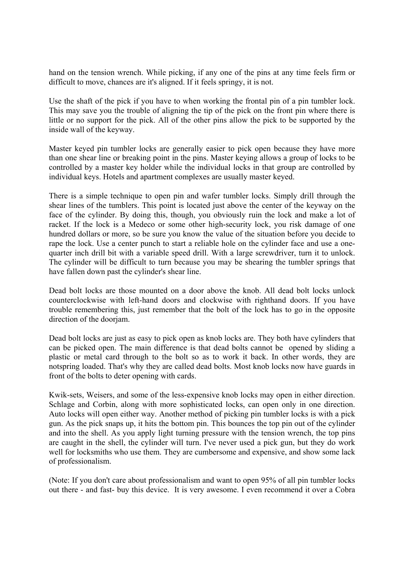hand on the tension wrench. While picking, if any one of the pins at any time feels firm or difficult to move, chances are it's aligned. If it feels springy, it is not.

Use the shaft of the pick if you have to when working the frontal pin of a pin tumbler lock. This may save you the trouble of aligning the tip of the pick on the front pin where there is little or no support for the pick. All of the other pins allow the pick to be supported by the inside wall of the keyway.

Master keyed pin tumbler locks are generally easier to pick open because they have more than one shear line or breaking point in the pins. Master keying allows a group of locks to be controlled by a master key holder while the individual locks in that group are controlled by individual keys. Hotels and apartment complexes are usually master keyed.

There is a simple technique to open pin and wafer tumbler locks. Simply drill through the shear lines of the tumblers. This point is located just above the center of the keyway on the face of the cylinder. By doing this, though, you obviously ruin the lock and make a lot of racket. If the lock is a Medeco or some other high-security lock, you risk damage of one hundred dollars or more, so be sure you know the value of the situation before you decide to rape the lock. Use a center punch to start a reliable hole on the cylinder face and use a onequarter inch drill bit with a variable speed drill. With a large screwdriver, turn it to unlock. The cylinder will be difficult to turn because you may be shearing the tumbler springs that have fallen down past the cylinder's shear line.

Dead bolt locks are those mounted on a door above the knob. All dead bolt locks unlock counterclockwise with left-hand doors and clockwise with righthand doors. If you have trouble remembering this, just remember that the bolt of the lock has to go in the opposite direction of the doorjam.

Dead bolt locks are just as easy to pick open as knob locks are. They both have cylinders that can be picked open. The main difference is that dead bolts cannot be opened by sliding a plastic or metal card through to the bolt so as to work it back. In other words, they are notspring loaded. That's why they are called dead bolts. Most knob locks now have guards in front of the bolts to deter opening with cards.

Kwik-sets, Weisers, and some of the less-expensive knob locks may open in either direction. Schlage and Corbin, along with more sophisticated locks, can open only in one direction. Auto locks will open either way. Another method of picking pin tumbler locks is with a pick gun. As the pick snaps up, it hits the bottom pin. This bounces the top pin out of the cylinder and into the shell. As you apply light turning pressure with the tension wrench, the top pins are caught in the shell, the cylinder will turn. I've never used a pick gun, but they do work well for locksmiths who use them. They are cumbersome and expensive, and show some lack of professionalism.

(Note: If you don't care about professionalism and want to open 95% of all pin tumbler locks out there - and fast- buy this device. It is very awesome. I even recommend it over a Cobra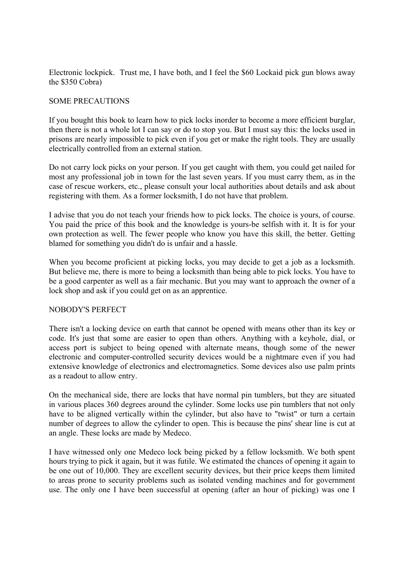Electronic lockpick. Trust me, I have both, and I feel the \$60 Lockaid pick gun blows away the \$350 Cobra)

## SOME PRECAUTIONS

If you bought this book to learn how to pick locks inorder to become a more efficient burglar, then there is not a whole lot I can say or do to stop you. But I must say this: the locks used in prisons are nearly impossible to pick even if you get or make the right tools. They are usually electrically controlled from an external station.

Do not carry lock picks on your person. If you get caught with them, you could get nailed for most any professional job in town for the last seven years. If you must carry them, as in the case of rescue workers, etc., please consult your local authorities about details and ask about registering with them. As a former locksmith, I do not have that problem.

I advise that you do not teach your friends how to pick locks. The choice is yours, of course. You paid the price of this book and the knowledge is yours-be selfish with it. It is for your own protection as well. The fewer people who know you have this skill, the better. Getting blamed for something you didn't do is unfair and a hassle.

When you become proficient at picking locks, you may decide to get a job as a locksmith. But believe me, there is more to being a locksmith than being able to pick locks. You have to be a good carpenter as well as a fair mechanic. But you may want to approach the owner of a lock shop and ask if you could get on as an apprentice.

## NOBODY'S PERFECT

There isn't a locking device on earth that cannot be opened with means other than its key or code. It's just that some are easier to open than others. Anything with a keyhole, dial, or access port is subject to being opened with alternate means, though some of the newer electronic and computer-controlled security devices would be a nightmare even if you had extensive knowledge of electronics and electromagnetics. Some devices also use palm prints as a readout to allow entry.

On the mechanical side, there are locks that have normal pin tumblers, but they are situated in various places 360 degrees around the cylinder. Some locks use pin tumblers that not only have to be aligned vertically within the cylinder, but also have to "twist" or turn a certain number of degrees to allow the cylinder to open. This is because the pins' shear line is cut at an angle. These locks are made by Medeco.

I have witnessed only one Medeco lock being picked by a fellow locksmith. We both spent hours trying to pick it again, but it was futile. We estimated the chances of opening it again to be one out of 10,000. They are excellent security devices, but their price keeps them limited to areas prone to security problems such as isolated vending machines and for government use. The only one I have been successful at opening (after an hour of picking) was one I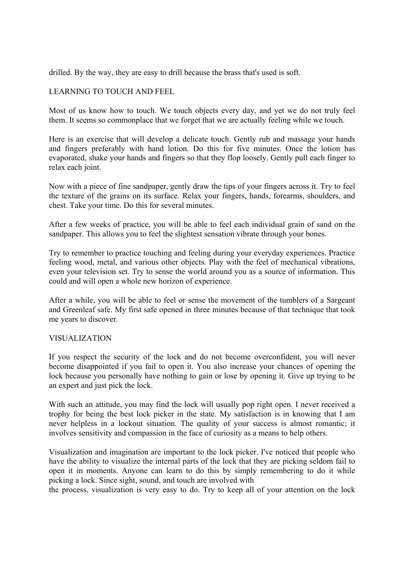drilled. By the way, they are easy to drill because the brass that's used is soft.

# LEARNING TO TOUCH AND FEEL

Most of us know how to touch. We touch objects every day, and yet we do not truly feel them. It seems so commonplace that we forget that we are actually feeling while we touch.

Here is an exercise that will develop a delicate touch. Gently rub and massage your hands and fingers preferably with hand lotion. Do this for five minutes. Once the lotion has evaporated, shake your hands and fingers so that they flop loosely. Gently pull each finger to relax each joint.

Now with a piece of fine sandpaper, gently draw the tips of your fingers across it. Try to feel the texture of the grains on its surface. Relax your fingers, hands, forearms, shoulders, and chest. Take your time. Do this for several minutes.

After a few weeks of practice, you will be able to feel each individual grain of sand on the sandpaper. This allows you to feel the slightest sensation vibrate through your bones.

Try to remember to practice touching and feeling during your everyday experiences. Practice feeling wood, metal, and various other objects. Play with the feel of mechanical vibrations, even your television set. Try to sense the world around you as a source of information. This could and will open a whole new horizon of experience.

After a while, you will be able to feel or sense the movement of the tumblers of a Sargeant and Greenleaf safe. My first safe opened in three minutes because of that technique that took me years to discover.

## VISUALIZATION

If you respect the security of the lock and do not become overconfident, you will never become disappointed if you fail to open it. You also increase your chances of opening the lock because you personally have nothing to gain or lose by opening it. Give up trying to be an expert and just pick the lock.

With such an attitude, you may find the lock will usually pop right open. I never received a trophy for being the best lock picker in the state. My satisfaction is in knowing that I am never helpless in a lockout situation. The quality of your success is almost romantic; it involves sensitivity and compassion in the face of curiosity as a means to help others.

Visualization and imagination are important to the lock picker. I've noticed that people who have the ability to visualize the internal parts of the lock that they are picking seldom fail to open it in moments. Anyone can learn to do this by simply remembering to do it while picking a lock. Since sight, sound, and touch are involved with

the process, visualization is very easy to do. Try to keep all of your attention on the lock